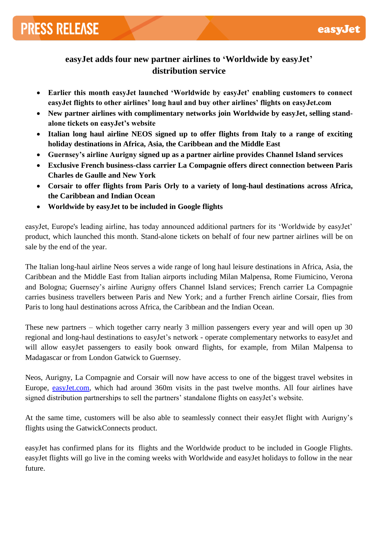# **PRESS RELEASE**

## **easyJet adds four new partner airlines to 'Worldwide by easyJet' distribution service**

- **Earlier this month easyJet launched 'Worldwide by easyJet' enabling customers to connect easyJet flights to other airlines' long haul and buy other airlines' flights on easyJet.com**
- New partner airlines with complimentary networks join Worldwide by easyJet, selling stand**alone tickets on easyJet's website**
- **Italian long haul airline NEOS signed up to offer flights from Italy to a range of exciting holiday destinations in Africa, Asia, the Caribbean and the Middle East**
- **Guernsey's airline Aurigny signed up as a partner airline provides Channel Island services**
- **Exclusive French business-class carrier La Compagnie offers direct connection between Paris Charles de Gaulle and New York**
- **Corsair to offer flights from Paris Orly to a variety of long-haul destinations across Africa, the Caribbean and Indian Ocean**
- **Worldwide by easyJet to be included in Google flights**

easyJet, Europe's leading airline, has today announced additional partners for its 'Worldwide by easyJet' product, which launched this month. Stand-alone tickets on behalf of four new partner airlines will be on sale by the end of the year.

The Italian long-haul airline Neos serves a wide range of long haul leisure destinations in Africa, Asia, the Caribbean and the Middle East from Italian airports including Milan Malpensa, Rome Fiumicino, Verona and Bologna; Guernsey's airline Aurigny offers Channel Island services; French carrier La Compagnie carries business travellers between Paris and New York; and a further French airline Corsair, flies from Paris to long haul destinations across Africa, the Caribbean and the Indian Ocean.

These new partners – which together carry nearly 3 million passengers every year and will open up 30 regional and long-haul destinations to easyJet's network - operate complementary networks to easyJet and will allow easyJet passengers to easily book onward flights, for example, from Milan Malpensa to Madagascar or from London Gatwick to Guernsey.

Neos, Aurigny, La Compagnie and Corsair will now have access to one of the biggest travel websites in Europe, [easyJet.com,](http://www.easyjet.com/) which had around 360m visits in the past twelve months. All four airlines have signed distribution partnerships to sell the partners' standalone flights on easyJet's website.

At the same time, customers will be also able to seamlessly connect their easyJet flight with Aurigny's flights using the GatwickConnects product.

easyJet has confirmed plans for its flights and the Worldwide product to be included in Google Flights. easyJet flights will go live in the coming weeks with Worldwide and easyJet holidays to follow in the near future.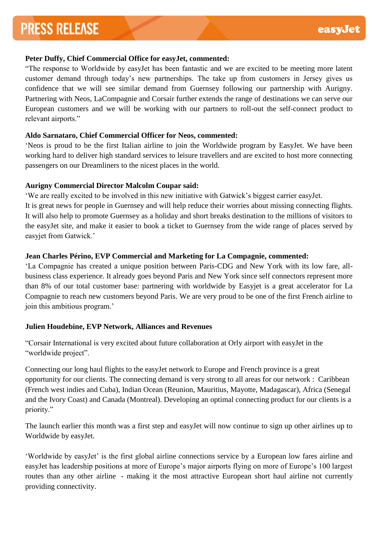## **Peter Duffy, Chief Commercial Office for easyJet, commented:**

"The response to Worldwide by easyJet has been fantastic and we are excited to be meeting more latent customer demand through today's new partnerships. The take up from customers in Jersey gives us confidence that we will see similar demand from Guernsey following our partnership with Aurigny. Partnering with Neos, LaCompagnie and Corsair further extends the range of destinations we can serve our European customers and we will be working with our partners to roll-out the self-connect product to relevant airports."

## **Aldo Sarnataro, Chief Commercial Officer for Neos, commented:**

'Neos is proud to be the first Italian airline to join the Worldwide program by EasyJet. We have been working hard to deliver high standard services to leisure travellers and are excited to host more connecting passengers on our Dreamliners to the nicest places in the world.

## **Aurigny Commercial Director Malcolm Coupar said:**

'We are really excited to be involved in this new initiative with Gatwick's biggest carrier easyJet.

It is great news for people in Guernsey and will help reduce their worries about missing connecting flights. It will also help to promote Guernsey as a holiday and short breaks destination to the millions of visitors to the easyJet site, and make it easier to book a ticket to Guernsey from the wide range of places served by easyjet from Gatwick.'

## **Jean Charles Périno, EVP Commercial and Marketing for La Compagnie, commented:**

'La Compagnie has created a unique position between Paris-CDG and New York with its low fare, allbusiness class experience. It already goes beyond Paris and New York since self connectors represent more than 8% of our total customer base: partnering with worldwide by Easyjet is a great accelerator for La Compagnie to reach new customers beyond Paris. We are very proud to be one of the first French airline to join this ambitious program.'

## **Julien Houdebine, EVP Network, Alliances and Revenues**

"Corsair International is very excited about future collaboration at Orly airport with easyJet in the "worldwide project".

Connecting our long haul flights to the easyJet network to Europe and French province is a great opportunity for our clients. The connecting demand is very strong to all areas for our network : Caribbean (French west indies and Cuba), Indian Ocean (Reunion, Mauritius, Mayotte, Madagascar), Africa (Senegal and the Ivory Coast) and Canada (Montreal). Developing an optimal connecting product for our clients is a priority."

The launch earlier this month was a first step and easyJet will now continue to sign up other airlines up to Worldwide by easyJet.

'Worldwide by easyJet' is the first global airline connections service by a European low fares airline and easyJet has leadership positions at more of Europe's major airports flying on more of Europe's 100 largest routes than any other airline - making it the most attractive European short haul airline not currently providing connectivity.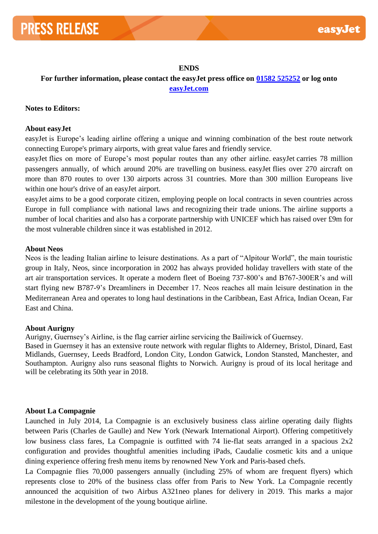#### **ENDS**

**For further information, please contact the easyJet press office on [01582 525252](tel:01582%20525252) or log onto [easyJet.com](http://easyjet.com/)**

## **Notes to Editors:**

## **About easyJet**

easyJet is Europe's leading airline offering a unique and winning combination of the best route network connecting Europe's primary airports, with great value fares and friendly service.

easyJet flies on more of Europe's most popular routes than any other airline. easyJet carries 78 million passengers annually, of which around 20% are travelling on business. easyJet flies over 270 aircraft on more than 870 routes to over 130 airports across 31 countries. More than 300 million Europeans live within one hour's drive of an easyJet airport.

easyJet aims to be a good corporate citizen, employing people on local contracts in seven countries across Europe in full compliance with national laws and recognizing their trade unions. The airline supports a number of local charities and also has a corporate partnership with UNICEF which has raised over £9m for the most vulnerable children since it was established in 2012.

#### **About Neos**

Neos is the leading Italian airline to leisure destinations. As a part of "Alpitour World", the main touristic group in Italy, Neos, since incorporation in 2002 has always provided holiday travellers with state of the art air transportation services. It operate a modern fleet of Boeing 737-800's and B767-300ER's and will start flying new B787-9's Dreamliners in December 17. Neos reaches all main leisure destination in the Mediterranean Area and operates to long haul destinations in the Caribbean, East Africa, Indian Ocean, Far East and China.

## **About Aurigny**

Aurigny, Guernsey's Airline, is the flag carrier airline servicing the Bailiwick of Guernsey.

Based in Guernsey it has an extensive route network with regular flights to Alderney, Bristol, Dinard, East Midlands, Guernsey, Leeds Bradford, London City, London Gatwick, London Stansted, Manchester, and Southampton. Aurigny also runs seasonal flights to Norwich. Aurigny is proud of its local heritage and will be celebrating its 50th year in 2018.

## **About La Compagnie**

Launched in July 2014, La Compagnie is an exclusively business class airline operating daily flights between Paris (Charles de Gaulle) and New York (Newark International Airport). Offering competitively low business class fares, La Compagnie is outfitted with 74 lie-flat seats arranged in a spacious  $2x2$ configuration and provides thoughtful amenities including iPads, Caudalie cosmetic kits and a unique dining experience offering fresh menu items by renowned New York and Paris-based chefs.

La Compagnie flies 70,000 passengers annually (including 25% of whom are frequent flyers) which represents close to 20% of the business class offer from Paris to New York. La Compagnie recently announced the acquisition of two Airbus A321neo planes for delivery in 2019. This marks a major milestone in the development of the young boutique airline.